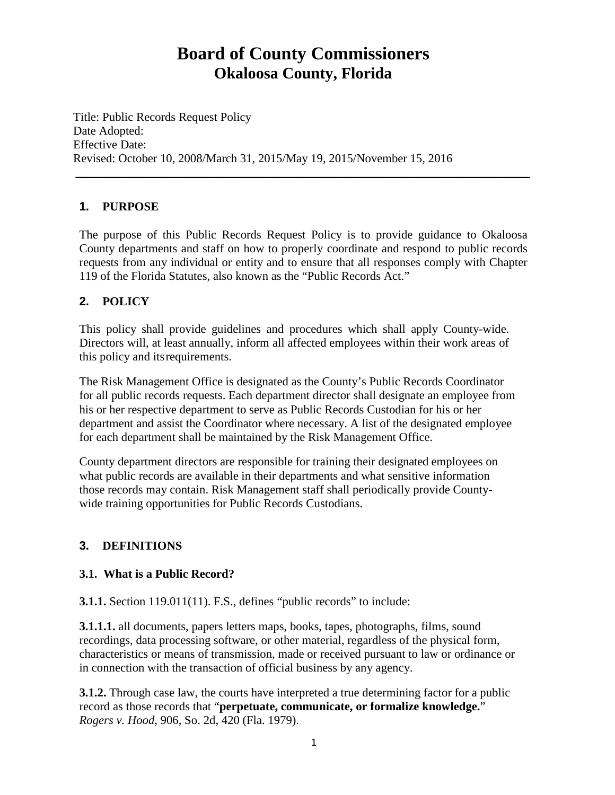# **Board of County Commissioners Okaloosa County, Florida**

Title: Public Records Request Policy Date Adopted: Effective Date: Revised: October 10, 2008/March 31, 2015/May 19, 2015/November 15, 2016

## **1. PURPOSE**

The purpose of this Public Records Request Policy is to provide guidance to Okaloosa County departments and staff on how to properly coordinate and respond to public records requests from any individual or entity and to ensure that all responses comply with Chapter 119 of the Florida Statutes, also known as the "Public Records Act."

 $\frac{1}{2}$  ,  $\frac{1}{2}$  ,  $\frac{1}{2}$  ,  $\frac{1}{2}$  ,  $\frac{1}{2}$  ,  $\frac{1}{2}$  ,  $\frac{1}{2}$  ,  $\frac{1}{2}$  ,  $\frac{1}{2}$  ,  $\frac{1}{2}$  ,  $\frac{1}{2}$  ,  $\frac{1}{2}$  ,  $\frac{1}{2}$  ,  $\frac{1}{2}$  ,  $\frac{1}{2}$  ,  $\frac{1}{2}$  ,  $\frac{1}{2}$  ,  $\frac{1}{2}$  ,  $\frac{1$ 

## **2. POLICY**

This policy shall provide guidelines and procedures which shall apply County-wide. Directors will, at least annually, inform all affected employees within their work areas of this policy and itsrequirements.

The Risk Management Office is designated as the County's Public Records Coordinator for all public records requests. Each department director shall designate an employee from his or her respective department to serve as Public Records Custodian for his or her department and assist the Coordinator where necessary. A list of the designated employee for each department shall be maintained by the Risk Management Office.

County department directors are responsible for training their designated employees on what public records are available in their departments and what sensitive information those records may contain. Risk Management staff shall periodically provide Countywide training opportunities for Public Records Custodians.

## **3. DEFINITIONS**

### **3.1. What is a Public Record?**

**3.1.1.** Section 119.011(11). F.S., defines "public records" to include:

**3.1.1.1.** all documents, papers letters maps, books, tapes, photographs, films, sound recordings, data processing software, or other material, regardless of the physical form, characteristics or means of transmission, made or received pursuant to law or ordinance or in connection with the transaction of official business by any agency.

**3.1.2.** Through case law, the courts have interpreted a true determining factor for a public record as those records that "**perpetuate, communicate, or formalize knowledge.**" *Rogers v. Hood*, 906, So. 2d, 420 (Fla. 1979).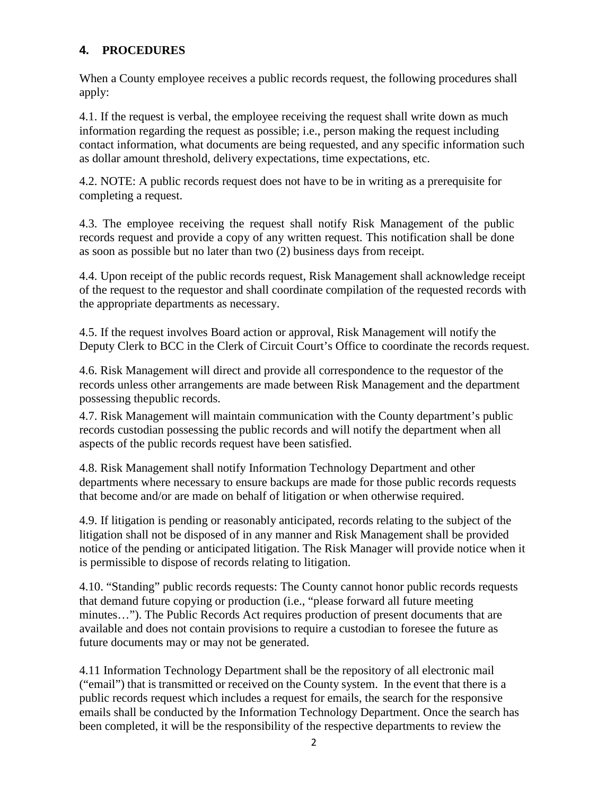## **4. PROCEDURES**

When a County employee receives a public records request, the following procedures shall apply:

4.1. If the request is verbal, the employee receiving the request shall write down as much information regarding the request as possible; i.e., person making the request including contact information, what documents are being requested, and any specific information such as dollar amount threshold, delivery expectations, time expectations, etc.

4.2. NOTE: A public records request does not have to be in writing as a prerequisite for completing a request.

4.3. The employee receiving the request shall notify Risk Management of the public records request and provide a copy of any written request. This notification shall be done as soon as possible but no later than two (2) business days from receipt.

4.4. Upon receipt of the public records request, Risk Management shall acknowledge receipt of the request to the requestor and shall coordinate compilation of the requested records with the appropriate departments as necessary.

4.5. If the request involves Board action or approval, Risk Management will notify the Deputy Clerk to BCC in the Clerk of Circuit Court's Office to coordinate the records request.

4.6. Risk Management will direct and provide all correspondence to the requestor of the records unless other arrangements are made between Risk Management and the department possessing thepublic records.

4.7. Risk Management will maintain communication with the County department's public records custodian possessing the public records and will notify the department when all aspects of the public records request have been satisfied.

4.8. Risk Management shall notify Information Technology Department and other departments where necessary to ensure backups are made for those public records requests that become and/or are made on behalf of litigation or when otherwise required.

4.9. If litigation is pending or reasonably anticipated, records relating to the subject of the litigation shall not be disposed of in any manner and Risk Management shall be provided notice of the pending or anticipated litigation. The Risk Manager will provide notice when it is permissible to dispose of records relating to litigation.

4.10. "Standing" public records requests: The County cannot honor public records requests that demand future copying or production (i.e., "please forward all future meeting minutes…"). The Public Records Act requires production of present documents that are available and does not contain provisions to require a custodian to foresee the future as future documents may or may not be generated.

4.11 Information Technology Department shall be the repository of all electronic mail ("email") that is transmitted or received on the County system. In the event that there is a public records request which includes a request for emails, the search for the responsive emails shall be conducted by the Information Technology Department. Once the search has been completed, it will be the responsibility of the respective departments to review the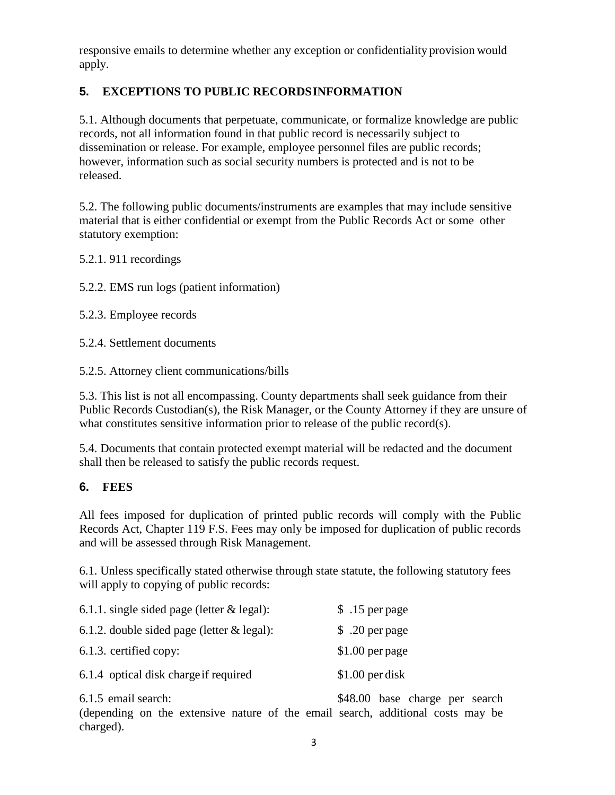responsive emails to determine whether any exception or confidentiality provision would apply.

# **5. EXCEPTIONS TO PUBLIC RECORDSINFORMATION**

5.1. Although documents that perpetuate, communicate, or formalize knowledge are public records, not all information found in that public record is necessarily subject to dissemination or release. For example, employee personnel files are public records; however, information such as social security numbers is protected and is not to be released.

5.2. The following public documents/instruments are examples that may include sensitive material that is either confidential or exempt from the Public Records Act or some other statutory exemption:

5.2.1. 911 recordings

5.2.2. EMS run logs (patient information)

5.2.3. Employee records

5.2.4. Settlement documents

5.2.5. Attorney client communications/bills

5.3. This list is not all encompassing. County departments shall seek guidance from their Public Records Custodian(s), the Risk Manager, or the County Attorney if they are unsure of what constitutes sensitive information prior to release of the public record(s).

5.4. Documents that contain protected exempt material will be redacted and the document shall then be released to satisfy the public records request.

### **6. FEES**

All fees imposed for duplication of printed public records will comply with the Public Records Act, Chapter 119 F.S. Fees may only be imposed for duplication of public records and will be assessed through Risk Management.

6.1. Unless specifically stated otherwise through state statute, the following statutory fees will apply to copying of public records:

| 6.1.1. single sided page (letter $&$ legal): | \$ .15 per page  |
|----------------------------------------------|------------------|
| 6.1.2. double sided page (letter $&$ legal): | \$ .20 per page  |
| 6.1.3. certified copy:                       | $$1.00$ per page |
| 6.1.4 optical disk charge if required        | $$1.00$ per disk |
|                                              |                  |

6.1.5 email search: \$48.00 base charge per search (depending on the extensive nature of the email search, additional costs may be charged).